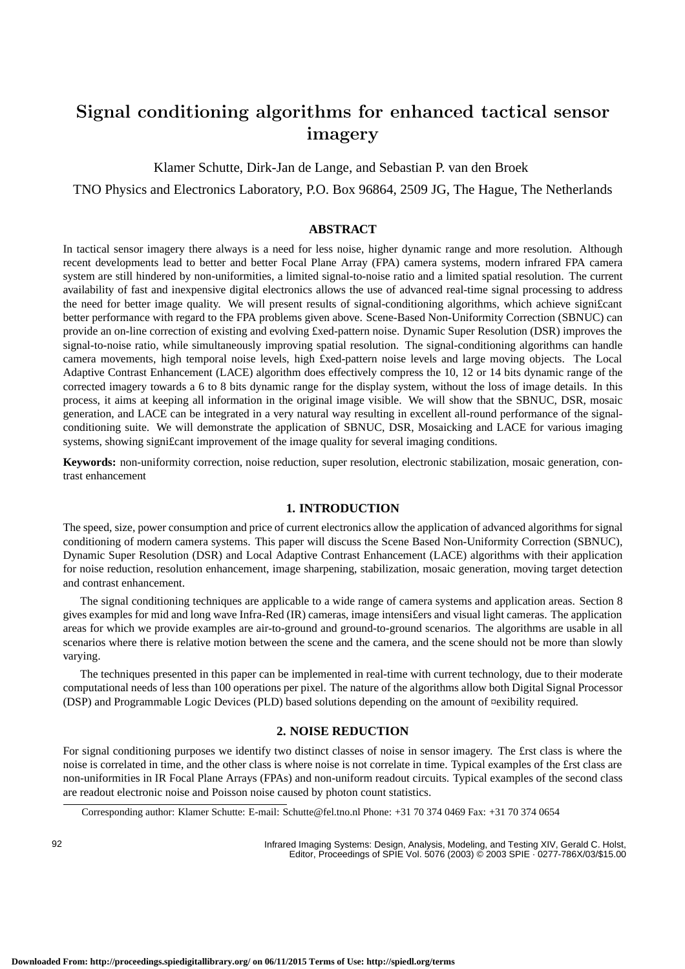# **Signal conditioning algorithms for enhanced tactical sensor imagery**

Klamer Schutte, Dirk-Jan de Lange, and Sebastian P. van den Broek

TNO Physics and Electronics Laboratory, P.O. Box 96864, 2509 JG, The Hague, The Netherlands

### **ABSTRACT**

In tactical sensor imagery there always is a need for less noise, higher dynamic range and more resolution. Although recent developments lead to better and better Focal Plane Array (FPA) camera systems, modern infrared FPA camera system are still hindered by non-uniformities, a limited signal-to-noise ratio and a limited spatial resolution. The current availability of fast and inexpensive digital electronics allows the use of advanced real-time signal processing to address the need for better image quality. We will present results of signal-conditioning algorithms, which achieve signi£cant better performance with regard to the FPA problems given above. Scene-Based Non-Uniformity Correction (SBNUC) can provide an on-line correction of existing and evolving £xed-pattern noise. Dynamic Super Resolution (DSR) improves the signal-to-noise ratio, while simultaneously improving spatial resolution. The signal-conditioning algorithms can handle camera movements, high temporal noise levels, high £xed-pattern noise levels and large moving objects. The Local Adaptive Contrast Enhancement (LACE) algorithm does effectively compress the 10, 12 or 14 bits dynamic range of the corrected imagery towards a 6 to 8 bits dynamic range for the display system, without the loss of image details. In this process, it aims at keeping all information in the original image visible. We will show that the SBNUC, DSR, mosaic generation, and LACE can be integrated in a very natural way resulting in excellent all-round performance of the signalconditioning suite. We will demonstrate the application of SBNUC, DSR, Mosaicking and LACE for various imaging systems, showing significant improvement of the image quality for several imaging conditions.

**Keywords:** non-uniformity correction, noise reduction, super resolution, electronic stabilization, mosaic generation, contrast enhancement

#### **1. INTRODUCTION**

The speed, size, power consumption and price of current electronics allow the application of advanced algorithms for signal conditioning of modern camera systems. This paper will discuss the Scene Based Non-Uniformity Correction (SBNUC), Dynamic Super Resolution (DSR) and Local Adaptive Contrast Enhancement (LACE) algorithms with their application for noise reduction, resolution enhancement, image sharpening, stabilization, mosaic generation, moving target detection and contrast enhancement.

The signal conditioning techniques are applicable to a wide range of camera systems and application areas. Section 8 gives examples for mid and long wave Infra-Red (IR) cameras, image intensi£ers and visual light cameras. The application areas for which we provide examples are air-to-ground and ground-to-ground scenarios. The algorithms are usable in all scenarios where there is relative motion between the scene and the camera, and the scene should not be more than slowly varying.

The techniques presented in this paper can be implemented in real-time with current technology, due to their moderate computational needs of less than 100 operations per pixel. The nature of the algorithms allow both Digital Signal Processor (DSP) and Programmable Logic Devices (PLD) based solutions depending on the amount of ¤exibility required.

# **2. NOISE REDUCTION**

For signal conditioning purposes we identify two distinct classes of noise in sensor imagery. The £rst class is where the noise is correlated in time, and the other class is where noise is not correlate in time. Typical examples of the £rst class are non-uniformities in IR Focal Plane Arrays (FPAs) and non-uniform readout circuits. Typical examples of the second class are readout electronic noise and Poisson noise caused by photon count statistics.

Infrared Imaging Systems: Design, Analysis, Modeling, and Testing XIV, Gerald C. Holst, Editor, Proceedings of SPIE Vol. 5076 (2003) © 2003 SPIE · 0277-786X/03/\$15.00

Corresponding author: Klamer Schutte: E-mail: Schutte@fel.tno.nl Phone: +31 70 374 0469 Fax: +31 70 374 0654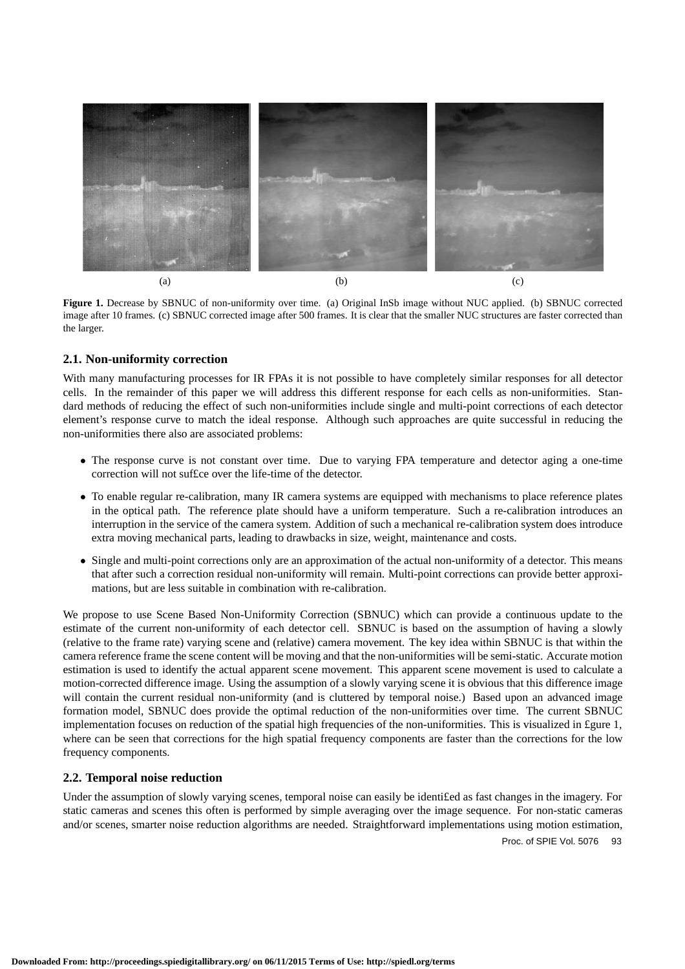

**Figure 1.** Decrease by SBNUC of non-uniformity over time. (a) Original InSb image without NUC applied. (b) SBNUC corrected image after 10 frames. (c) SBNUC corrected image after 500 frames. It is clear that the smaller NUC structures are faster corrected than the larger.

# **2.1. Non-uniformity correction**

With many manufacturing processes for IR FPAs it is not possible to have completely similar responses for all detector cells. In the remainder of this paper we will address this different response for each cells as non-uniformities. Standard methods of reducing the effect of such non-uniformities include single and multi-point corrections of each detector element's response curve to match the ideal response. Although such approaches are quite successful in reducing the non-uniformities there also are associated problems:

- The response curve is not constant over time. Due to varying FPA temperature and detector aging a one-time correction will not suf£ce over the life-time of the detector.
- To enable regular re-calibration, many IR camera systems are equipped with mechanisms to place reference plates in the optical path. The reference plate should have a uniform temperature. Such a re-calibration introduces an interruption in the service of the camera system. Addition of such a mechanical re-calibration system does introduce extra moving mechanical parts, leading to drawbacks in size, weight, maintenance and costs.
- Single and multi-point corrections only are an approximation of the actual non-uniformity of a detector. This means that after such a correction residual non-uniformity will remain. Multi-point corrections can provide better approximations, but are less suitable in combination with re-calibration.

We propose to use Scene Based Non-Uniformity Correction (SBNUC) which can provide a continuous update to the estimate of the current non-uniformity of each detector cell. SBNUC is based on the assumption of having a slowly (relative to the frame rate) varying scene and (relative) camera movement. The key idea within SBNUC is that within the camera reference frame the scene content will be moving and that the non-uniformities will be semi-static. Accurate motion estimation is used to identify the actual apparent scene movement. This apparent scene movement is used to calculate a motion-corrected difference image. Using the assumption of a slowly varying scene it is obvious that this difference image will contain the current residual non-uniformity (and is cluttered by temporal noise.) Based upon an advanced image formation model, SBNUC does provide the optimal reduction of the non-uniformities over time. The current SBNUC implementation focuses on reduction of the spatial high frequencies of the non-uniformities. This is visualized in £gure 1, where can be seen that corrections for the high spatial frequency components are faster than the corrections for the low frequency components.

## **2.2. Temporal noise reduction**

Under the assumption of slowly varying scenes, temporal noise can easily be identi£ed as fast changes in the imagery. For static cameras and scenes this often is performed by simple averaging over the image sequence. For non-static cameras and/or scenes, smarter noise reduction algorithms are needed. Straightforward implementations using motion estimation,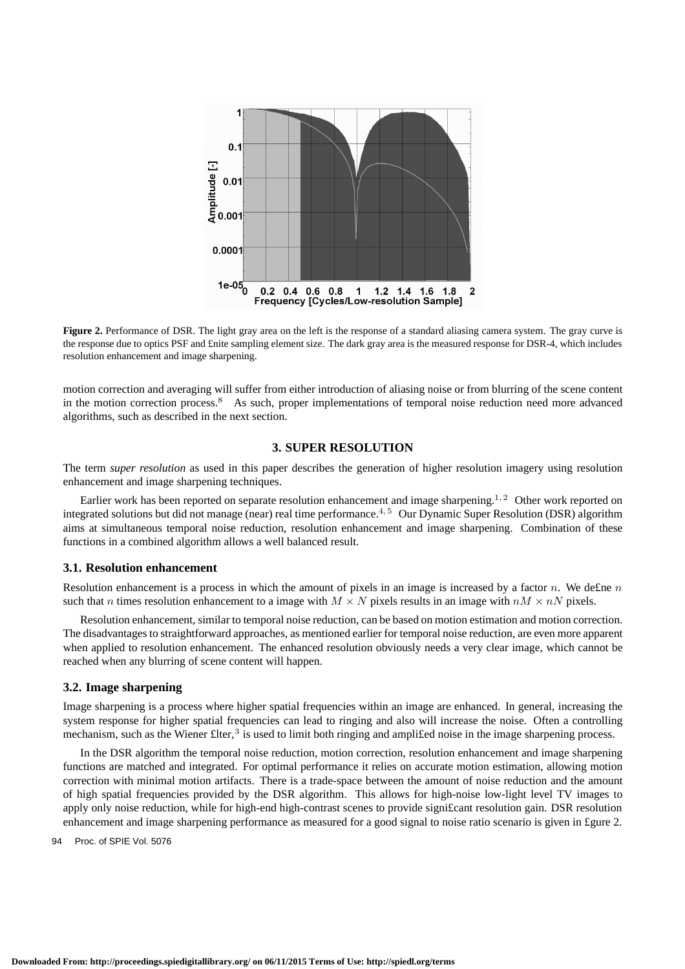

**Figure 2.** Performance of DSR. The light gray area on the left is the response of a standard aliasing camera system. The gray curve is the response due to optics PSF and £nite sampling element size. The dark gray area is the measured response for DSR-4, which includes resolution enhancement and image sharpening.

motion correction and averaging will suffer from either introduction of aliasing noise or from blurring of the scene content in the motion correction process.<sup>8</sup> As such, proper implementations of temporal noise reduction need more advanced algorithms, such as described in the next section.

#### **3. SUPER RESOLUTION**

The term *super resolution* as used in this paper describes the generation of higher resolution imagery using resolution enhancement and image sharpening techniques.

Earlier work has been reported on separate resolution enhancement and image sharpening.<sup>1, 2</sup> Other work reported on integrated solutions but did not manage (near) real time performance.<sup>4, 5</sup> Our Dynamic Super Resolution (DSR) algorithm aims at simultaneous temporal noise reduction, resolution enhancement and image sharpening. Combination of these functions in a combined algorithm allows a well balanced result.

#### **3.1. Resolution enhancement**

Resolution enhancement is a process in which the amount of pixels in an image is increased by a factor *n*. We de£ne *n* such that *n* times resolution enhancement to a image with  $M \times N$  pixels results in an image with  $nM \times nN$  pixels.

Resolution enhancement, similar to temporal noise reduction, can be based on motion estimation and motion correction. The disadvantages to straightforward approaches, as mentioned earlier for temporal noise reduction, are even more apparent when applied to resolution enhancement. The enhanced resolution obviously needs a very clear image, which cannot be reached when any blurring of scene content will happen.

#### **3.2. Image sharpening**

Image sharpening is a process where higher spatial frequencies within an image are enhanced. In general, increasing the system response for higher spatial frequencies can lead to ringing and also will increase the noise. Often a controlling mechanism, such as the Wiener  $\text{filter},^3$  is used to limit both ringing and ampli£ed noise in the image sharpening process.

In the DSR algorithm the temporal noise reduction, motion correction, resolution enhancement and image sharpening functions are matched and integrated. For optimal performance it relies on accurate motion estimation, allowing motion correction with minimal motion artifacts. There is a trade-space between the amount of noise reduction and the amount of high spatial frequencies provided by the DSR algorithm. This allows for high-noise low-light level TV images to apply only noise reduction, while for high-end high-contrast scenes to provide signi£cant resolution gain. DSR resolution enhancement and image sharpening performance as measured for a good signal to noise ratio scenario is given in £gure 2.

94 Proc. of SPIE Vol. 5076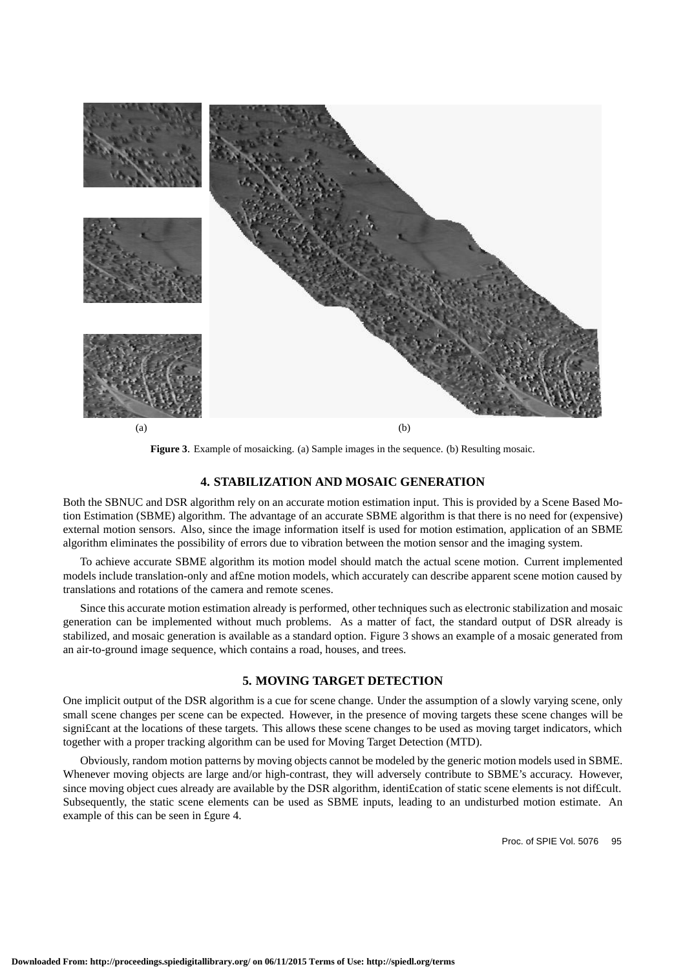

**Figure 3**. Example of mosaicking. (a) Sample images in the sequence. (b) Resulting mosaic.

# **4. STABILIZATION AND MOSAIC GENERATION**

Both the SBNUC and DSR algorithm rely on an accurate motion estimation input. This is provided by a Scene Based Motion Estimation (SBME) algorithm. The advantage of an accurate SBME algorithm is that there is no need for (expensive) external motion sensors. Also, since the image information itself is used for motion estimation, application of an SBME algorithm eliminates the possibility of errors due to vibration between the motion sensor and the imaging system.

To achieve accurate SBME algorithm its motion model should match the actual scene motion. Current implemented models include translation-only and af£ne motion models, which accurately can describe apparent scene motion caused by translations and rotations of the camera and remote scenes.

Since this accurate motion estimation already is performed, other techniques such as electronic stabilization and mosaic generation can be implemented without much problems. As a matter of fact, the standard output of DSR already is stabilized, and mosaic generation is available as a standard option. Figure 3 shows an example of a mosaic generated from an air-to-ground image sequence, which contains a road, houses, and trees.

#### **5. MOVING TARGET DETECTION**

One implicit output of the DSR algorithm is a cue for scene change. Under the assumption of a slowly varying scene, only small scene changes per scene can be expected. However, in the presence of moving targets these scene changes will be significant at the locations of these targets. This allows these scene changes to be used as moving target indicators, which together with a proper tracking algorithm can be used for Moving Target Detection (MTD).

Obviously, random motion patterns by moving objects cannot be modeled by the generic motion models used in SBME. Whenever moving objects are large and/or high-contrast, they will adversely contribute to SBME's accuracy. However, since moving object cues already are available by the DSR algorithm, identi£cation of static scene elements is not dif£cult. Subsequently, the static scene elements can be used as SBME inputs, leading to an undisturbed motion estimate. An example of this can be seen in £gure 4.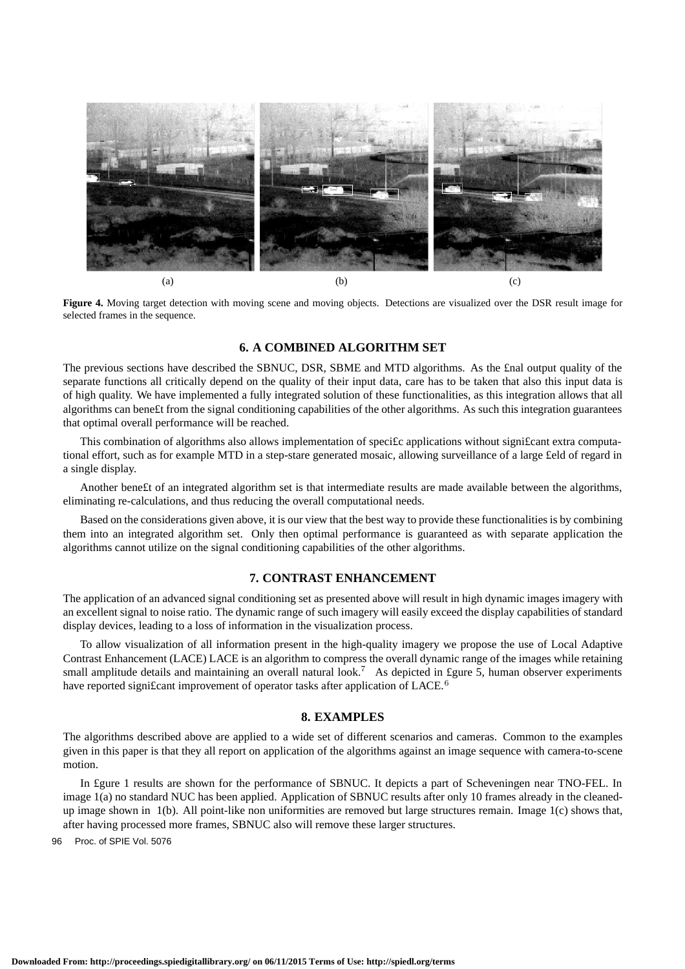

Figure 4. Moving target detection with moving scene and moving objects. Detections are visualized over the DSR result image for selected frames in the sequence.

## **6. A COMBINED ALGORITHM SET**

The previous sections have described the SBNUC, DSR, SBME and MTD algorithms. As the £nal output quality of the separate functions all critically depend on the quality of their input data, care has to be taken that also this input data is of high quality. We have implemented a fully integrated solution of these functionalities, as this integration allows that all algorithms can bene£t from the signal conditioning capabilities of the other algorithms. As such this integration guarantees that optimal overall performance will be reached.

This combination of algorithms also allows implementation of specific applications without significant extra computational effort, such as for example MTD in a step-stare generated mosaic, allowing surveillance of a large £eld of regard in a single display.

Another bene£t of an integrated algorithm set is that intermediate results are made available between the algorithms, eliminating re-calculations, and thus reducing the overall computational needs.

Based on the considerations given above, it is our view that the best way to provide these functionalities is by combining them into an integrated algorithm set. Only then optimal performance is guaranteed as with separate application the algorithms cannot utilize on the signal conditioning capabilities of the other algorithms.

#### **7. CONTRAST ENHANCEMENT**

The application of an advanced signal conditioning set as presented above will result in high dynamic images imagery with an excellent signal to noise ratio. The dynamic range of such imagery will easily exceed the display capabilities of standard display devices, leading to a loss of information in the visualization process.

To allow visualization of all information present in the high-quality imagery we propose the use of Local Adaptive Contrast Enhancement (LACE) LACE is an algorithm to compress the overall dynamic range of the images while retaining small amplitude details and maintaining an overall natural look.<sup>7</sup> As depicted in £gure 5, human observer experiments have reported significant improvement of operator tasks after application of LACE.<sup>6</sup>

## **8. EXAMPLES**

The algorithms described above are applied to a wide set of different scenarios and cameras. Common to the examples given in this paper is that they all report on application of the algorithms against an image sequence with camera-to-scene motion.

In £gure 1 results are shown for the performance of SBNUC. It depicts a part of Scheveningen near TNO-FEL. In image 1(a) no standard NUC has been applied. Application of SBNUC results after only 10 frames already in the cleanedup image shown in  $1(b)$ . All point-like non uniformities are removed but large structures remain. Image  $1(c)$  shows that, after having processed more frames, SBNUC also will remove these larger structures.

96 Proc. of SPIE Vol. 5076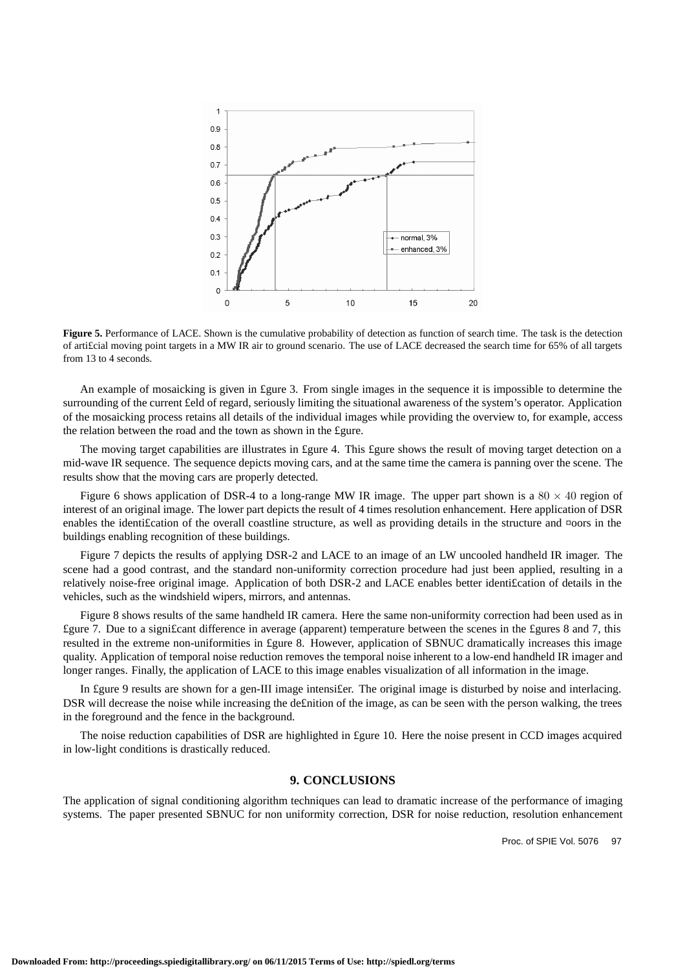

**Figure 5.** Performance of LACE. Shown is the cumulative probability of detection as function of search time. The task is the detection of arti£cial moving point targets in a MW IR air to ground scenario. The use of LACE decreased the search time for 65% of all targets from 13 to 4 seconds.

An example of mosaicking is given in £gure 3. From single images in the sequence it is impossible to determine the surrounding of the current £eld of regard, seriously limiting the situational awareness of the system's operator. Application of the mosaicking process retains all details of the individual images while providing the overview to, for example, access the relation between the road and the town as shown in the £gure.

The moving target capabilities are illustrates in £gure 4. This £gure shows the result of moving target detection on a mid-wave IR sequence. The sequence depicts moving cars, and at the same time the camera is panning over the scene. The results show that the moving cars are properly detected.

Figure 6 shows application of DSR-4 to a long-range MW IR image. The upper part shown is a 80 *×* 40 region of interest of an original image. The lower part depicts the result of 4 times resolution enhancement. Here application of DSR enables the identification of the overall coastline structure, as well as providing details in the structure and ¤oors in the buildings enabling recognition of these buildings.

Figure 7 depicts the results of applying DSR-2 and LACE to an image of an LW uncooled handheld IR imager. The scene had a good contrast, and the standard non-uniformity correction procedure had just been applied, resulting in a relatively noise-free original image. Application of both DSR-2 and LACE enables better identi£cation of details in the vehicles, such as the windshield wipers, mirrors, and antennas.

Figure 8 shows results of the same handheld IR camera. Here the same non-uniformity correction had been used as in £gure 7. Due to a signi£cant difference in average (apparent) temperature between the scenes in the £gures 8 and 7, this resulted in the extreme non-uniformities in £gure 8. However, application of SBNUC dramatically increases this image quality. Application of temporal noise reduction removes the temporal noise inherent to a low-end handheld IR imager and longer ranges. Finally, the application of LACE to this image enables visualization of all information in the image.

In £gure 9 results are shown for a gen-III image intensi£er. The original image is disturbed by noise and interlacing. DSR will decrease the noise while increasing the de£nition of the image, as can be seen with the person walking, the trees in the foreground and the fence in the background.

The noise reduction capabilities of DSR are highlighted in £gure 10. Here the noise present in CCD images acquired in low-light conditions is drastically reduced.

## **9. CONCLUSIONS**

The application of signal conditioning algorithm techniques can lead to dramatic increase of the performance of imaging systems. The paper presented SBNUC for non uniformity correction, DSR for noise reduction, resolution enhancement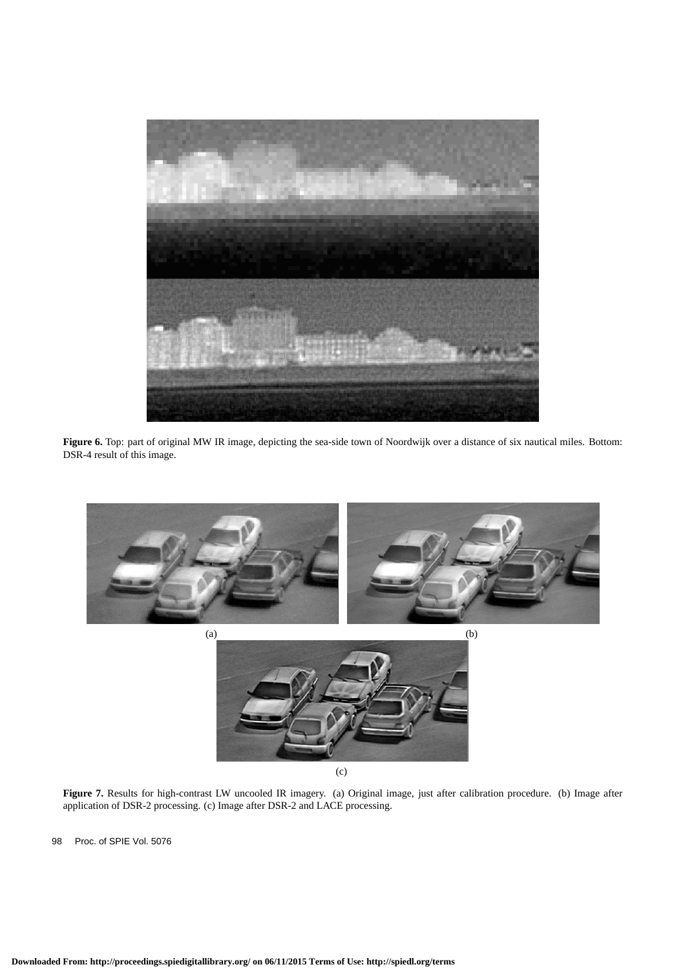

**Figure 6.** Top: part of original MW IR image, depicting the sea-side town of Noordwijk over a distance of six nautical miles. Bottom: DSR-4 result of this image.



Figure 7. Results for high-contrast LW uncooled IR imagery. (a) Original image, just after calibration procedure. (b) Image after application of DSR-2 processing. (c) Image after DSR-2 and LACE processing.

<sup>98</sup> Proc. of SPIE Vol. 5076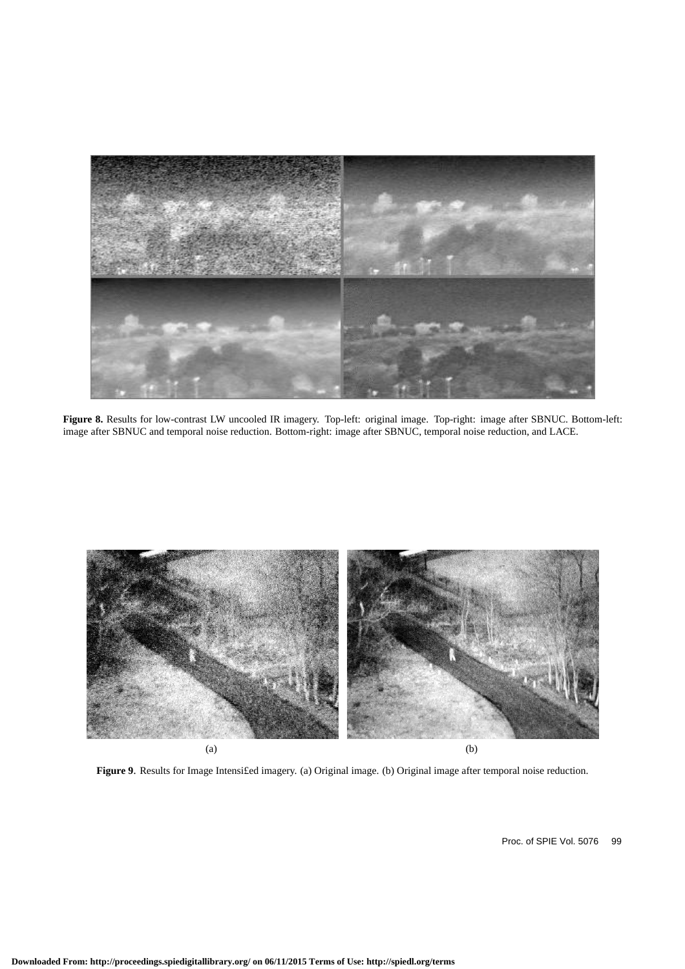

**Figure 8.** Results for low-contrast LW uncooled IR imagery. Top-left: original image. Top-right: image after SBNUC. Bottom-left: image after SBNUC and temporal noise reduction. Bottom-right: image after SBNUC, temporal noise reduction, and LACE.



Figure 9. Results for Image Intensifed imagery. (a) Original image. (b) Original image after temporal noise reduction.